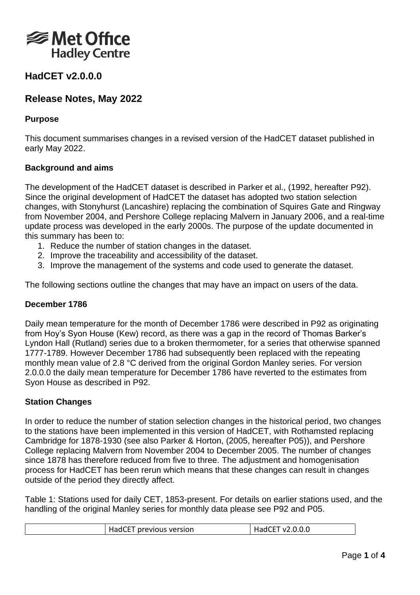

# **HadCET v2.0.0.0**

# **Release Notes, May 2022**

# **Purpose**

This document summarises changes in a revised version of the HadCET dataset published in early May 2022.

# **Background and aims**

The development of the HadCET dataset is described in Parker et al., (1992, hereafter P92). Since the original development of HadCET the dataset has adopted two station selection changes, with Stonyhurst (Lancashire) replacing the combination of Squires Gate and Ringway from November 2004, and Pershore College replacing Malvern in January 2006, and a real-time update process was developed in the early 2000s. The purpose of the update documented in this summary has been to:

- 1. Reduce the number of station changes in the dataset.
- 2. Improve the traceability and accessibility of the dataset.
- 3. Improve the management of the systems and code used to generate the dataset.

The following sections outline the changes that may have an impact on users of the data.

# **December 1786**

Daily mean temperature for the month of December 1786 were described in P92 as originating from Hoy's Syon House (Kew) record, as there was a gap in the record of Thomas Barker's Lyndon Hall (Rutland) series due to a broken thermometer, for a series that otherwise spanned 1777-1789. However December 1786 had subsequently been replaced with the repeating monthly mean value of 2.8 °C derived from the original Gordon Manley series. For version 2.0.0.0 the daily mean temperature for December 1786 have reverted to the estimates from Syon House as described in P92.

# **Station Changes**

In order to reduce the number of station selection changes in the historical period, two changes to the stations have been implemented in this version of HadCET, with Rothamsted replacing Cambridge for 1878-1930 (see also Parker & Horton, (2005, hereafter P05)), and Pershore College replacing Malvern from November 2004 to December 2005. The number of changes since 1878 has therefore reduced from five to three. The adjustment and homogenisation process for HadCET has been rerun which means that these changes can result in changes outside of the period they directly affect.

Table 1: Stations used for daily CET, 1853-present. For details on earlier stations used, and the handling of the original Manley series for monthly data please see P92 and P05.

| HadCET previous version | 「v2.0.0.0 |  |
|-------------------------|-----------|--|
|-------------------------|-----------|--|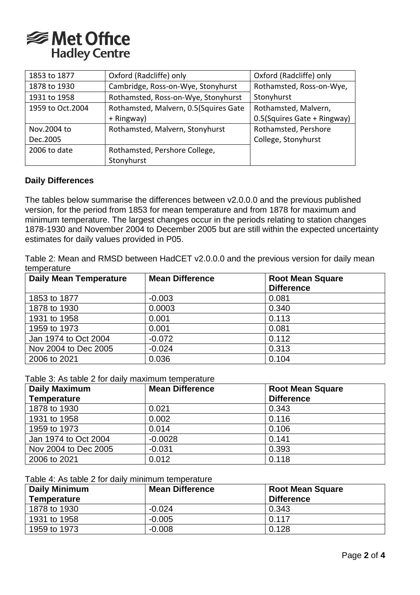

| 1853 to 1877     | Oxford (Radcliffe) only               | Oxford (Radcliffe) only     |
|------------------|---------------------------------------|-----------------------------|
| 1878 to 1930     | Cambridge, Ross-on-Wye, Stonyhurst    | Rothamsted, Ross-on-Wye,    |
| 1931 to 1958     | Rothamsted, Ross-on-Wye, Stonyhurst   | Stonyhurst                  |
| 1959 to Oct.2004 | Rothamsted, Malvern, 0.5(Squires Gate | Rothamsted, Malvern,        |
|                  | + Ringway)                            | 0.5(Squires Gate + Ringway) |
| Nov.2004 to      | Rothamsted, Malvern, Stonyhurst       | Rothamsted, Pershore        |
| Dec.2005         |                                       | College, Stonyhurst         |
| 2006 to date     | Rothamsted, Pershore College,         |                             |
|                  | Stonyhurst                            |                             |

## **Daily Differences**

The tables below summarise the differences between v2.0.0.0 and the previous published version, for the period from 1853 for mean temperature and from 1878 for maximum and minimum temperature. The largest changes occur in the periods relating to station changes 1878-1930 and November 2004 to December 2005 but are still within the expected uncertainty estimates for daily values provided in P05.

Table 2: Mean and RMSD between HadCET v2.0.0.0 and the previous version for daily mean temperature

| <b>Daily Mean Temperature</b> | <b>Mean Difference</b> | <b>Root Mean Square</b> |
|-------------------------------|------------------------|-------------------------|
|                               |                        | <b>Difference</b>       |
| 1853 to 1877                  | $-0.003$               | 0.081                   |
| 1878 to 1930                  | 0.0003                 | 0.340                   |
| 1931 to 1958                  | 0.001                  | 0.113                   |
| 1959 to 1973                  | 0.001                  | 0.081                   |
| Jan 1974 to Oct 2004          | $-0.072$               | 0.112                   |
| Nov 2004 to Dec 2005          | $-0.024$               | 0.313                   |
| 2006 to 2021                  | 0.036                  | 0.104                   |

Table 3: As table 2 for daily maximum temperature

| <b>Daily Maximum</b> | <b>Mean Difference</b> | <b>Root Mean Square</b> |
|----------------------|------------------------|-------------------------|
| <b>Temperature</b>   |                        | <b>Difference</b>       |
| 1878 to 1930         | 0.021                  | 0.343                   |
| 1931 to 1958         | 0.002                  | 0.116                   |
| 1959 to 1973         | 0.014                  | 0.106                   |
| Jan 1974 to Oct 2004 | $-0.0028$              | 0.141                   |
| Nov 2004 to Dec 2005 | $-0.031$               | 0.393                   |
| 2006 to 2021         | 0.012                  | 0.118                   |

Table 4: As table 2 for daily minimum temperature

| <b>Daily Minimum</b> | <b>Mean Difference</b> | <b>Root Mean Square</b> |
|----------------------|------------------------|-------------------------|
| <b>Temperature</b>   |                        | <b>Difference</b>       |
| 1878 to 1930         | $-0.024$               | 0.343                   |
| 1931 to 1958         | $-0.005$               | 0.117                   |
| 1959 to 1973         | $-0.008$               | 0.128                   |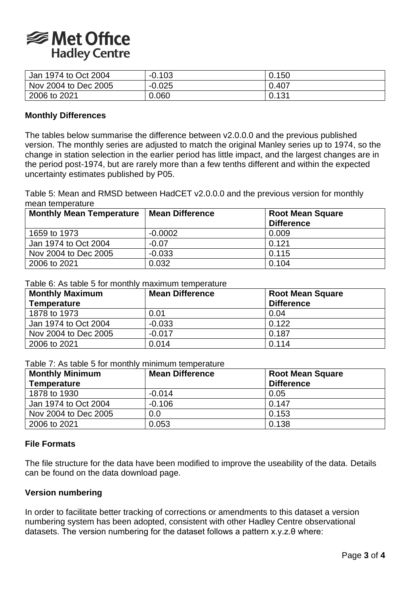

| Jan 1974 to Oct 2004 | $-0.103$ | 0.150 |
|----------------------|----------|-------|
| Nov 2004 to Dec 2005 | $-0.025$ | 0.407 |
| 2006 to 2021         | 0.060    | 0.131 |

### **Monthly Differences**

The tables below summarise the difference between v2.0.0.0 and the previous published version. The monthly series are adjusted to match the original Manley series up to 1974, so the change in station selection in the earlier period has little impact, and the largest changes are in the period post-1974, but are rarely more than a few tenths different and within the expected uncertainty estimates published by P05.

Table 5: Mean and RMSD between HadCET v2.0.0.0 and the previous version for monthly mean temperature

| <b>Monthly Mean Temperature</b> | Mean Difference | <b>Root Mean Square</b><br><b>Difference</b> |
|---------------------------------|-----------------|----------------------------------------------|
|                                 |                 |                                              |
| 1659 to 1973                    | $-0.0002$       | 0.009                                        |
| Jan 1974 to Oct 2004            | $-0.07$         | 0.121                                        |
| Nov 2004 to Dec 2005            | $-0.033$        | 0.115                                        |
| 2006 to 2021                    | 0.032           | 0.104                                        |

#### Table 6: As table 5 for monthly maximum temperature

| <b>Monthly Maximum</b> | <b>Mean Difference</b> | <b>Root Mean Square</b> |
|------------------------|------------------------|-------------------------|
| <b>Temperature</b>     |                        | <b>Difference</b>       |
| 1878 to 1973           | 0.01                   | 0.04                    |
| Jan 1974 to Oct 2004   | $-0.033$               | 0.122                   |
| Nov 2004 to Dec 2005   | $-0.017$               | 0.187                   |
| 2006 to 2021           | 0.014                  | 0.114                   |

Table 7: As table 5 for monthly minimum temperature

| <b>Monthly Minimum</b><br><b>Temperature</b> | <b>Mean Difference</b> | <b>Root Mean Square</b><br><b>Difference</b> |
|----------------------------------------------|------------------------|----------------------------------------------|
| 1878 to 1930                                 | $-0.014$               | 0.05                                         |
| Jan 1974 to Oct 2004                         | $-0.106$               | 0.147                                        |
| Nov 2004 to Dec 2005                         | 0.0                    | 0.153                                        |
| 2006 to 2021                                 | 0.053                  | 0.138                                        |

### **File Formats**

The file structure for the data have been modified to improve the useability of the data. Details can be found on the data download page.

#### **Version numbering**

In order to facilitate better tracking of corrections or amendments to this dataset a version numbering system has been adopted, consistent with other Hadley Centre observational datasets. The version numbering for the dataset follows a pattern x.y.z.θ where: